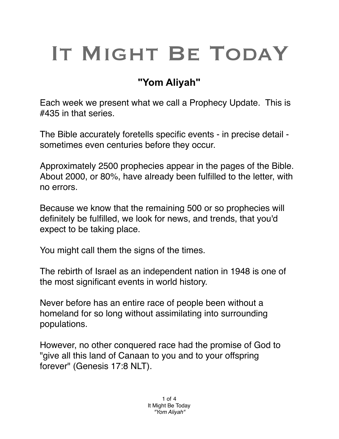## IT MIGHT BE TODAY

## **"Yom Aliyah"**

Each week we present what we call a Prophecy Update. This is #435 in that series.

The Bible accurately foretells specific events - in precise detail sometimes even centuries before they occur.

Approximately 2500 prophecies appear in the pages of the Bible. About 2000, or 80%, have already been fulfilled to the letter, with no errors.

Because we know that the remaining 500 or so prophecies will definitely be fulfilled, we look for news, and trends, that you'd expect to be taking place.

You might call them the signs of the times.

The rebirth of Israel as an independent nation in 1948 is one of the most significant events in world history.

Never before has an entire race of people been without a homeland for so long without assimilating into surrounding populations.

However, no other conquered race had the promise of God to "give all this land of Canaan to you and to your offspring forever" (Genesis 17:8 NLT).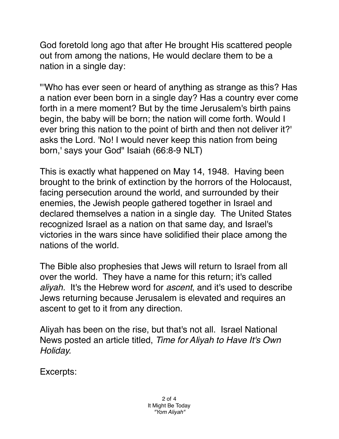God foretold long ago that after He brought His scattered people out from among the nations, He would declare them to be a nation in a single day:

"'Who has ever seen or heard of anything as strange as this? Has a nation ever been born in a single day? Has a country ever come forth in a mere moment? But by the time Jerusalem's birth pains begin, the baby will be born; the nation will come forth. Would I ever bring this nation to the point of birth and then not deliver it?' asks the Lord. 'No! I would never keep this nation from being born,' says your God" Isaiah (66:8-9 NLT)

This is exactly what happened on May 14, 1948. Having been brought to the brink of extinction by the horrors of the Holocaust, facing persecution around the world, and surrounded by their enemies, the Jewish people gathered together in Israel and declared themselves a nation in a single day. The United States recognized Israel as a nation on that same day, and Israel's victories in the wars since have solidified their place among the nations of the world.

The Bible also prophesies that Jews will return to Israel from all over the world. They have a name for this return; it's called *aliyah*. It's the Hebrew word for *ascent*, and it's used to describe Jews returning because Jerusalem is elevated and requires an ascent to get to it from any direction.

Aliyah has been on the rise, but that's not all. Israel National News posted an article titled, *Time for Aliyah to Have It's Own Holiday.*

Excerpts: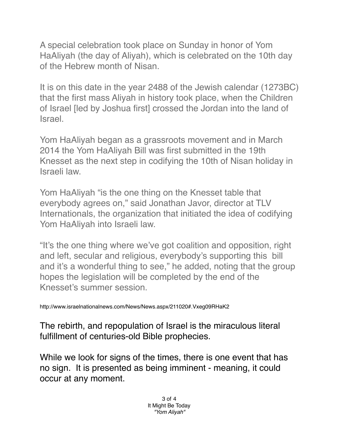A special celebration took place on Sunday in honor of Yom HaAliyah (the day of Aliyah), which is celebrated on the 10th day of the Hebrew month of Nisan.

It is on this date in the year 2488 of the Jewish calendar (1273BC) that the first mass Aliyah in history took place, when the Children of Israel [led by Joshua first] crossed the Jordan into the land of Israel.

Yom HaAliyah began as a grassroots movement and in March 2014 the Yom HaAliyah Bill was first submitted in the 19th Knesset as the next step in codifying the 10th of Nisan holiday in Israeli law.

Yom HaAliyah "is the one thing on the Knesset table that everybody agrees on," said Jonathan Javor, director at TLV Internationals, the organization that initiated the idea of codifying Yom HaAliyah into Israeli law.

"It's the one thing where we've got coalition and opposition, right and left, secular and religious, everybody's supporting this bill and it's a wonderful thing to see," he added, noting that the group hopes the legislation will be completed by the end of the Knesset's summer session.

http://www.israelnationalnews.com/News/News.aspx/211020#.Vxeg09RHaK2

The rebirth, and repopulation of Israel is the miraculous literal fulfillment of centuries-old Bible prophecies.

While we look for signs of the times, there is one event that has no sign. It is presented as being imminent - meaning, it could occur at any moment.